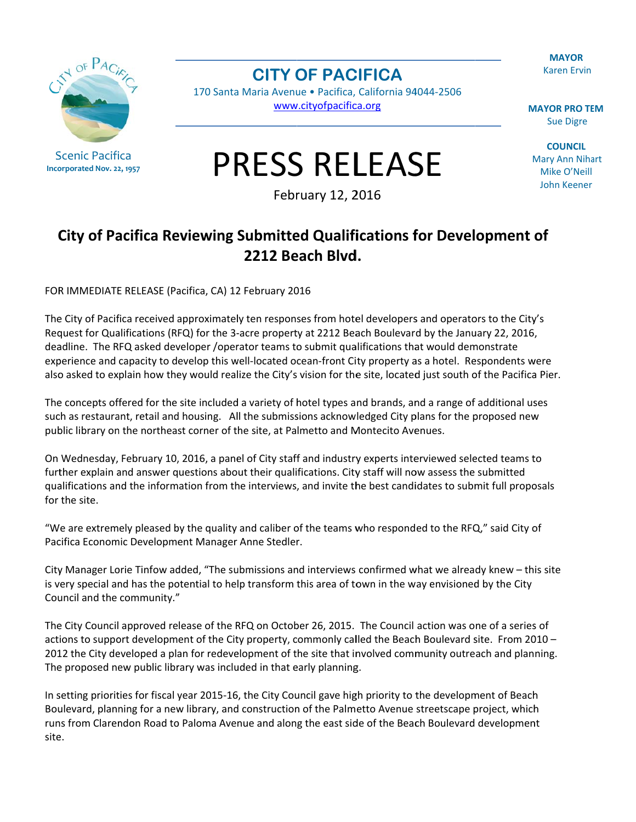**MAYOR Karen Ervin** 



**Scenic Pacifica** Incorporated Nov. 22, 1957 **CITY OF PACIFICA** 

170 Santa Maria Avenue · Pacifica, California 94044-2506 www.cityofpacifica.org

**MAYOR PRO TEM Sue Digre** 

**COUNCIL Mary Ann Nihart** Mike O'Neill **John Keener** 

## **PRESS RELEASE**

February 12, 2016

## City of Pacifica Reviewing Submitted Qualifications for Development of 2212 Beach Blvd.

FOR IMMEDIATE RELEASE (Pacifica, CA) 12 February 2016

The City of Pacifica received approximately ten responses from hotel developers and operators to the City's Request for Qualifications (RFQ) for the 3-acre property at 2212 Beach Boulevard by the January 22, 2016, deadline. The RFQ asked developer /operator teams to submit qualifications that would demonstrate experience and capacity to develop this well-located ocean-front City property as a hotel. Respondents were also asked to explain how they would realize the City's vision for the site, located just south of the Pacifica Pier.

The concepts offered for the site included a variety of hotel types and brands, and a range of additional uses such as restaurant, retail and housing. All the submissions acknowledged City plans for the proposed new public library on the northeast corner of the site, at Palmetto and Montecito Avenues.

On Wednesday, February 10, 2016, a panel of City staff and industry experts interviewed selected teams to further explain and answer questions about their qualifications. City staff will now assess the submitted qualifications and the information from the interviews, and invite the best candidates to submit full proposals for the site.

"We are extremely pleased by the quality and caliber of the teams who responded to the RFQ," said City of Pacifica Economic Development Manager Anne Stedler.

City Manager Lorie Tinfow added, "The submissions and interviews confirmed what we already knew - this site is very special and has the potential to help transform this area of town in the way envisioned by the City Council and the community."

The City Council approved release of the RFQ on October 26, 2015. The Council action was one of a series of actions to support development of the City property, commonly called the Beach Boulevard site. From 2010 -2012 the City developed a plan for redevelopment of the site that involved community outreach and planning. The proposed new public library was included in that early planning.

In setting priorities for fiscal year 2015-16, the City Council gave high priority to the development of Beach Boulevard, planning for a new library, and construction of the Palmetto Avenue streetscape project, which runs from Clarendon Road to Paloma Avenue and along the east side of the Beach Boulevard development site.